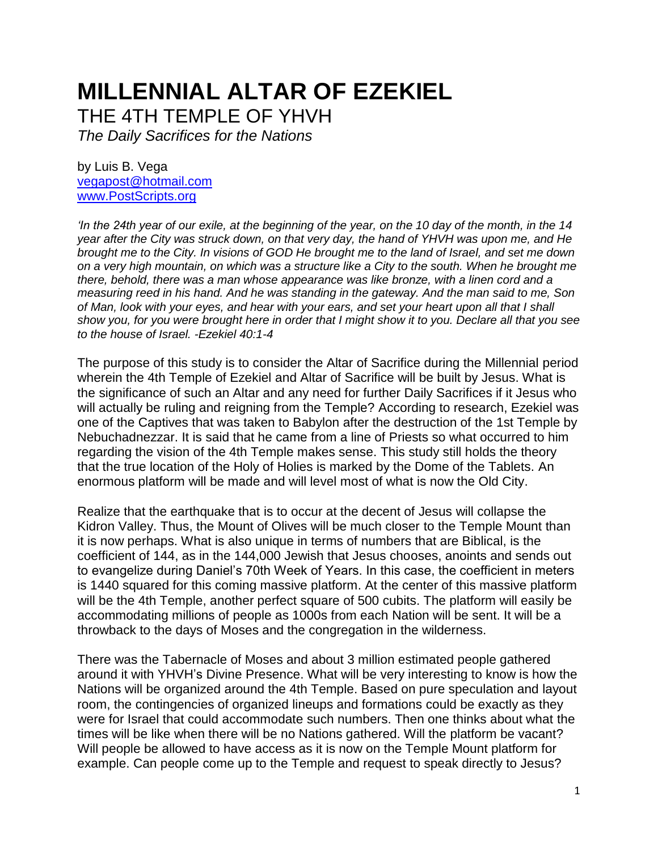# **MILLENNIAL ALTAR OF EZEKIEL**

THE 4TH TEMPLE OF YHVH

*The Daily Sacrifices for the Nations* 

by Luis B. Vega [vegapost@hotmail.com](mailto:vegapost@hotmail.com) [www.PostScripts.org](http://www.postscripts.org/) 

*'In the 24th year of our exile, at the beginning of the year, on the 10 day of the month, in the 14 year after the City was struck down, on that very day, the hand of YHVH was upon me, and He brought me to the City. In visions of GOD He brought me to the land of Israel, and set me down on a very high mountain, on which was a structure like a City to the south. When he brought me there, behold, there was a man whose appearance was like bronze, with a linen cord and a measuring reed in his hand. And he was standing in the gateway. And the man said to me, Son of Man, look with your eyes, and hear with your ears, and set your heart upon all that I shall show you, for you were brought here in order that I might show it to you. Declare all that you see to the house of Israel. -Ezekiel 40:1-4*

The purpose of this study is to consider the Altar of Sacrifice during the Millennial period wherein the 4th Temple of Ezekiel and Altar of Sacrifice will be built by Jesus. What is the significance of such an Altar and any need for further Daily Sacrifices if it Jesus who will actually be ruling and reigning from the Temple? According to research, Ezekiel was one of the Captives that was taken to Babylon after the destruction of the 1st Temple by Nebuchadnezzar. It is said that he came from a line of Priests so what occurred to him regarding the vision of the 4th Temple makes sense. This study still holds the theory that the true location of the Holy of Holies is marked by the Dome of the Tablets. An enormous platform will be made and will level most of what is now the Old City.

Realize that the earthquake that is to occur at the decent of Jesus will collapse the Kidron Valley. Thus, the Mount of Olives will be much closer to the Temple Mount than it is now perhaps. What is also unique in terms of numbers that are Biblical, is the coefficient of 144, as in the 144,000 Jewish that Jesus chooses, anoints and sends out to evangelize during Daniel's 70th Week of Years. In this case, the coefficient in meters is 1440 squared for this coming massive platform. At the center of this massive platform will be the 4th Temple, another perfect square of 500 cubits. The platform will easily be accommodating millions of people as 1000s from each Nation will be sent. It will be a throwback to the days of Moses and the congregation in the wilderness.

There was the Tabernacle of Moses and about 3 million estimated people gathered around it with YHVH's Divine Presence. What will be very interesting to know is how the Nations will be organized around the 4th Temple. Based on pure speculation and layout room, the contingencies of organized lineups and formations could be exactly as they were for Israel that could accommodate such numbers. Then one thinks about what the times will be like when there will be no Nations gathered. Will the platform be vacant? Will people be allowed to have access as it is now on the Temple Mount platform for example. Can people come up to the Temple and request to speak directly to Jesus?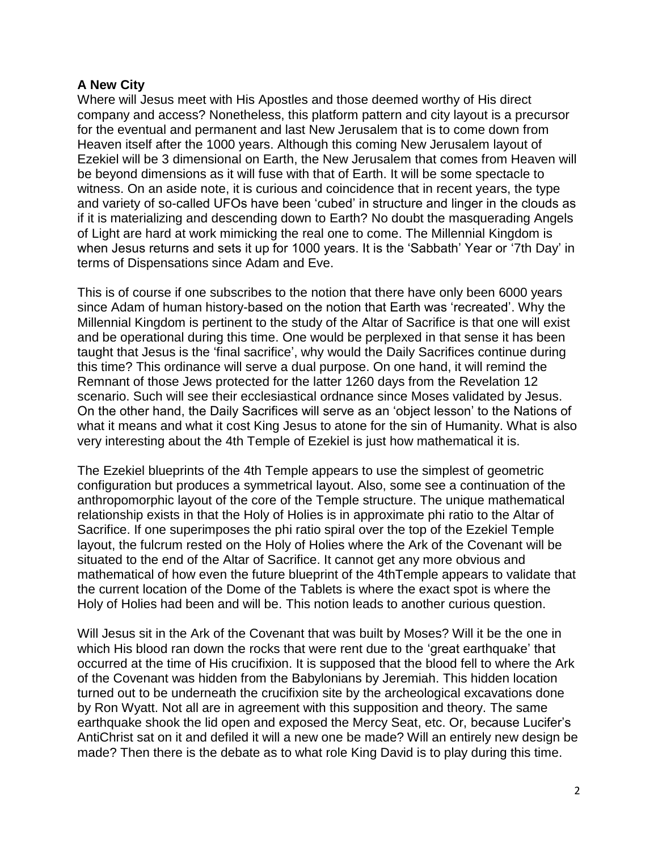## **A New City**

Where will Jesus meet with His Apostles and those deemed worthy of His direct company and access? Nonetheless, this platform pattern and city layout is a precursor for the eventual and permanent and last New Jerusalem that is to come down from Heaven itself after the 1000 years. Although this coming New Jerusalem layout of Ezekiel will be 3 dimensional on Earth, the New Jerusalem that comes from Heaven will be beyond dimensions as it will fuse with that of Earth. It will be some spectacle to witness. On an aside note, it is curious and coincidence that in recent years, the type and variety of so-called UFOs have been 'cubed' in structure and linger in the clouds as if it is materializing and descending down to Earth? No doubt the masquerading Angels of Light are hard at work mimicking the real one to come. The Millennial Kingdom is when Jesus returns and sets it up for 1000 years. It is the 'Sabbath' Year or '7th Day' in terms of Dispensations since Adam and Eve.

This is of course if one subscribes to the notion that there have only been 6000 years since Adam of human history-based on the notion that Earth was 'recreated'. Why the Millennial Kingdom is pertinent to the study of the Altar of Sacrifice is that one will exist and be operational during this time. One would be perplexed in that sense it has been taught that Jesus is the 'final sacrifice', why would the Daily Sacrifices continue during this time? This ordinance will serve a dual purpose. On one hand, it will remind the Remnant of those Jews protected for the latter 1260 days from the Revelation 12 scenario. Such will see their ecclesiastical ordnance since Moses validated by Jesus. On the other hand, the Daily Sacrifices will serve as an 'object lesson' to the Nations of what it means and what it cost King Jesus to atone for the sin of Humanity. What is also very interesting about the 4th Temple of Ezekiel is just how mathematical it is.

The Ezekiel blueprints of the 4th Temple appears to use the simplest of geometric configuration but produces a symmetrical layout. Also, some see a continuation of the anthropomorphic layout of the core of the Temple structure. The unique mathematical relationship exists in that the Holy of Holies is in approximate phi ratio to the Altar of Sacrifice. If one superimposes the phi ratio spiral over the top of the Ezekiel Temple layout, the fulcrum rested on the Holy of Holies where the Ark of the Covenant will be situated to the end of the Altar of Sacrifice. It cannot get any more obvious and mathematical of how even the future blueprint of the 4thTemple appears to validate that the current location of the Dome of the Tablets is where the exact spot is where the Holy of Holies had been and will be. This notion leads to another curious question.

Will Jesus sit in the Ark of the Covenant that was built by Moses? Will it be the one in which His blood ran down the rocks that were rent due to the 'great earthquake' that occurred at the time of His crucifixion. It is supposed that the blood fell to where the Ark of the Covenant was hidden from the Babylonians by Jeremiah. This hidden location turned out to be underneath the crucifixion site by the archeological excavations done by Ron Wyatt. Not all are in agreement with this supposition and theory. The same earthquake shook the lid open and exposed the Mercy Seat, etc. Or, because Lucifer's AntiChrist sat on it and defiled it will a new one be made? Will an entirely new design be made? Then there is the debate as to what role King David is to play during this time.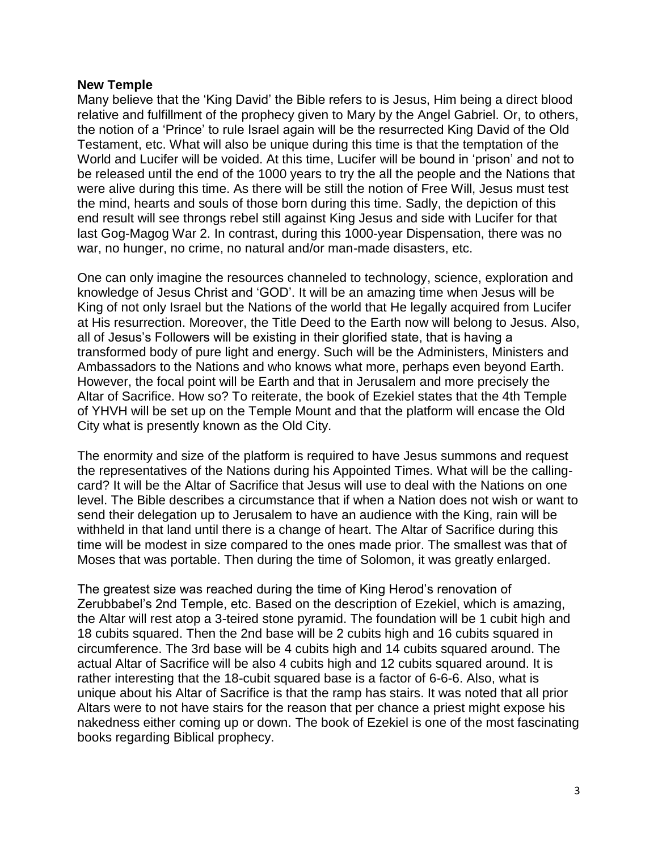#### **New Temple**

Many believe that the 'King David' the Bible refers to is Jesus, Him being a direct blood relative and fulfillment of the prophecy given to Mary by the Angel Gabriel. Or, to others, the notion of a 'Prince' to rule Israel again will be the resurrected King David of the Old Testament, etc. What will also be unique during this time is that the temptation of the World and Lucifer will be voided. At this time, Lucifer will be bound in 'prison' and not to be released until the end of the 1000 years to try the all the people and the Nations that were alive during this time. As there will be still the notion of Free Will, Jesus must test the mind, hearts and souls of those born during this time. Sadly, the depiction of this end result will see throngs rebel still against King Jesus and side with Lucifer for that last Gog-Magog War 2. In contrast, during this 1000-year Dispensation, there was no war, no hunger, no crime, no natural and/or man-made disasters, etc.

One can only imagine the resources channeled to technology, science, exploration and knowledge of Jesus Christ and 'GOD'. It will be an amazing time when Jesus will be King of not only Israel but the Nations of the world that He legally acquired from Lucifer at His resurrection. Moreover, the Title Deed to the Earth now will belong to Jesus. Also, all of Jesus's Followers will be existing in their glorified state, that is having a transformed body of pure light and energy. Such will be the Administers, Ministers and Ambassadors to the Nations and who knows what more, perhaps even beyond Earth. However, the focal point will be Earth and that in Jerusalem and more precisely the Altar of Sacrifice. How so? To reiterate, the book of Ezekiel states that the 4th Temple of YHVH will be set up on the Temple Mount and that the platform will encase the Old City what is presently known as the Old City.

The enormity and size of the platform is required to have Jesus summons and request the representatives of the Nations during his Appointed Times. What will be the callingcard? It will be the Altar of Sacrifice that Jesus will use to deal with the Nations on one level. The Bible describes a circumstance that if when a Nation does not wish or want to send their delegation up to Jerusalem to have an audience with the King, rain will be withheld in that land until there is a change of heart. The Altar of Sacrifice during this time will be modest in size compared to the ones made prior. The smallest was that of Moses that was portable. Then during the time of Solomon, it was greatly enlarged.

The greatest size was reached during the time of King Herod's renovation of Zerubbabel's 2nd Temple, etc. Based on the description of Ezekiel, which is amazing, the Altar will rest atop a 3-teired stone pyramid. The foundation will be 1 cubit high and 18 cubits squared. Then the 2nd base will be 2 cubits high and 16 cubits squared in circumference. The 3rd base will be 4 cubits high and 14 cubits squared around. The actual Altar of Sacrifice will be also 4 cubits high and 12 cubits squared around. It is rather interesting that the 18-cubit squared base is a factor of 6-6-6. Also, what is unique about his Altar of Sacrifice is that the ramp has stairs. It was noted that all prior Altars were to not have stairs for the reason that per chance a priest might expose his nakedness either coming up or down. The book of Ezekiel is one of the most fascinating books regarding Biblical prophecy.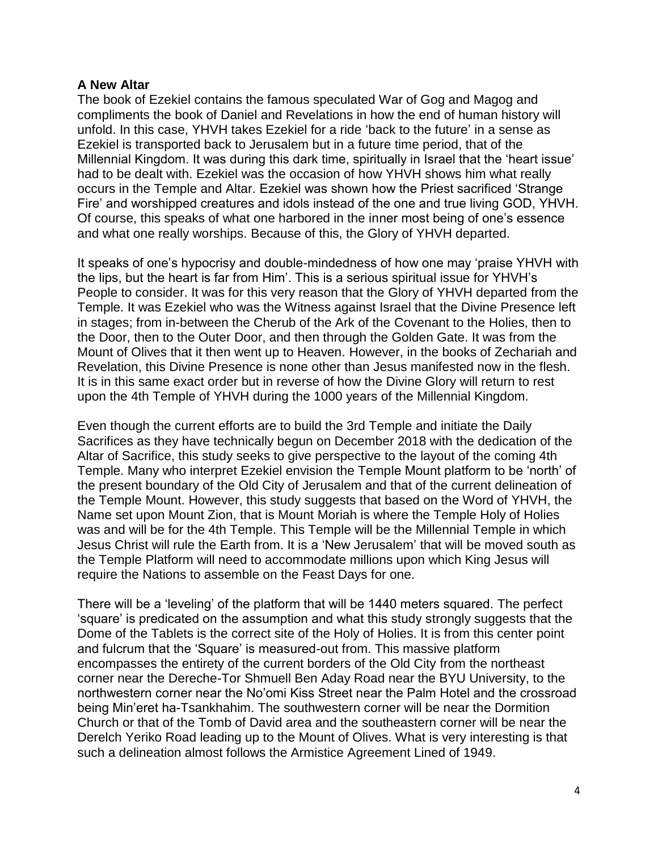#### **A New Altar**

The book of Ezekiel contains the famous speculated War of Gog and Magog and compliments the book of Daniel and Revelations in how the end of human history will unfold. In this case, YHVH takes Ezekiel for a ride 'back to the future' in a sense as Ezekiel is transported back to Jerusalem but in a future time period, that of the Millennial Kingdom. It was during this dark time, spiritually in Israel that the 'heart issue' had to be dealt with. Ezekiel was the occasion of how YHVH shows him what really occurs in the Temple and Altar. Ezekiel was shown how the Priest sacrificed 'Strange Fire' and worshipped creatures and idols instead of the one and true living GOD, YHVH. Of course, this speaks of what one harbored in the inner most being of one's essence and what one really worships. Because of this, the Glory of YHVH departed.

It speaks of one's hypocrisy and double-mindedness of how one may 'praise YHVH with the lips, but the heart is far from Him'. This is a serious spiritual issue for YHVH's People to consider. It was for this very reason that the Glory of YHVH departed from the Temple. It was Ezekiel who was the Witness against Israel that the Divine Presence left in stages; from in-between the Cherub of the Ark of the Covenant to the Holies, then to the Door, then to the Outer Door, and then through the Golden Gate. It was from the Mount of Olives that it then went up to Heaven. However, in the books of Zechariah and Revelation, this Divine Presence is none other than Jesus manifested now in the flesh. It is in this same exact order but in reverse of how the Divine Glory will return to rest upon the 4th Temple of YHVH during the 1000 years of the Millennial Kingdom.

Even though the current efforts are to build the 3rd Temple and initiate the Daily Sacrifices as they have technically begun on December 2018 with the dedication of the Altar of Sacrifice, this study seeks to give perspective to the layout of the coming 4th Temple. Many who interpret Ezekiel envision the Temple Mount platform to be 'north' of the present boundary of the Old City of Jerusalem and that of the current delineation of the Temple Mount. However, this study suggests that based on the Word of YHVH, the Name set upon Mount Zion, that is Mount Moriah is where the Temple Holy of Holies was and will be for the 4th Temple. This Temple will be the Millennial Temple in which Jesus Christ will rule the Earth from. It is a 'New Jerusalem' that will be moved south as the Temple Platform will need to accommodate millions upon which King Jesus will require the Nations to assemble on the Feast Days for one.

There will be a 'leveling' of the platform that will be 1440 meters squared. The perfect 'square' is predicated on the assumption and what this study strongly suggests that the Dome of the Tablets is the correct site of the Holy of Holies. It is from this center point and fulcrum that the 'Square' is measured-out from. This massive platform encompasses the entirety of the current borders of the Old City from the northeast corner near the Dereche-Tor Shmuell Ben Aday Road near the BYU University, to the northwestern corner near the No'omi Kiss Street near the Palm Hotel and the crossroad being Min'eret ha-Tsankhahim. The southwestern corner will be near the Dormition Church or that of the Tomb of David area and the southeastern corner will be near the Derelch Yeriko Road leading up to the Mount of Olives. What is very interesting is that such a delineation almost follows the Armistice Agreement Lined of 1949.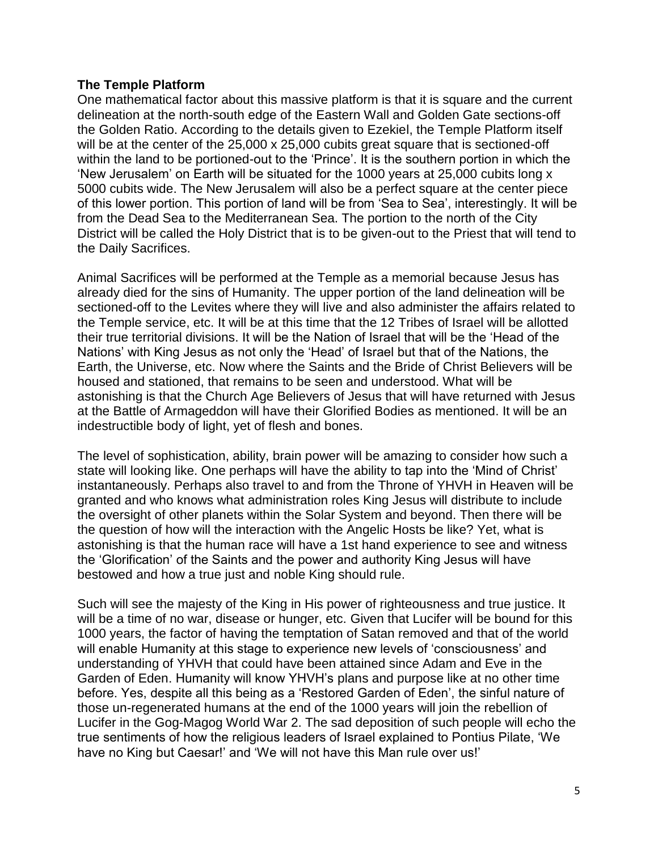### **The Temple Platform**

One mathematical factor about this massive platform is that it is square and the current delineation at the north-south edge of the Eastern Wall and Golden Gate sections-off the Golden Ratio. According to the details given to Ezekiel, the Temple Platform itself will be at the center of the 25,000 x 25,000 cubits great square that is sectioned-off within the land to be portioned-out to the 'Prince'. It is the southern portion in which the 'New Jerusalem' on Earth will be situated for the 1000 years at 25,000 cubits long x 5000 cubits wide. The New Jerusalem will also be a perfect square at the center piece of this lower portion. This portion of land will be from 'Sea to Sea', interestingly. It will be from the Dead Sea to the Mediterranean Sea. The portion to the north of the City District will be called the Holy District that is to be given-out to the Priest that will tend to the Daily Sacrifices.

Animal Sacrifices will be performed at the Temple as a memorial because Jesus has already died for the sins of Humanity. The upper portion of the land delineation will be sectioned-off to the Levites where they will live and also administer the affairs related to the Temple service, etc. It will be at this time that the 12 Tribes of Israel will be allotted their true territorial divisions. It will be the Nation of Israel that will be the 'Head of the Nations' with King Jesus as not only the 'Head' of Israel but that of the Nations, the Earth, the Universe, etc. Now where the Saints and the Bride of Christ Believers will be housed and stationed, that remains to be seen and understood. What will be astonishing is that the Church Age Believers of Jesus that will have returned with Jesus at the Battle of Armageddon will have their Glorified Bodies as mentioned. It will be an indestructible body of light, yet of flesh and bones.

The level of sophistication, ability, brain power will be amazing to consider how such a state will looking like. One perhaps will have the ability to tap into the 'Mind of Christ' instantaneously. Perhaps also travel to and from the Throne of YHVH in Heaven will be granted and who knows what administration roles King Jesus will distribute to include the oversight of other planets within the Solar System and beyond. Then there will be the question of how will the interaction with the Angelic Hosts be like? Yet, what is astonishing is that the human race will have a 1st hand experience to see and witness the 'Glorification' of the Saints and the power and authority King Jesus will have bestowed and how a true just and noble King should rule.

Such will see the majesty of the King in His power of righteousness and true justice. It will be a time of no war, disease or hunger, etc. Given that Lucifer will be bound for this 1000 years, the factor of having the temptation of Satan removed and that of the world will enable Humanity at this stage to experience new levels of 'consciousness' and understanding of YHVH that could have been attained since Adam and Eve in the Garden of Eden. Humanity will know YHVH's plans and purpose like at no other time before. Yes, despite all this being as a 'Restored Garden of Eden', the sinful nature of those un-regenerated humans at the end of the 1000 years will join the rebellion of Lucifer in the Gog-Magog World War 2. The sad deposition of such people will echo the true sentiments of how the religious leaders of Israel explained to Pontius Pilate, 'We have no King but Caesar!' and 'We will not have this Man rule over us!'